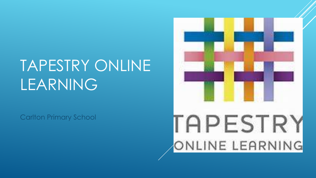# TAPESTRY ONLINE LEARNING

Carlton Primary School

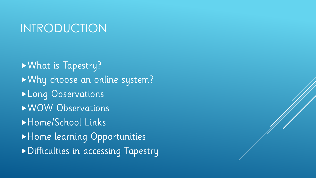#### INTRODUCTION

What is Tapestry? Why choose an online system? **Long Observations** WOW Observations Home/School Links Home learning Opportunities Difficulties in accessing Tapestry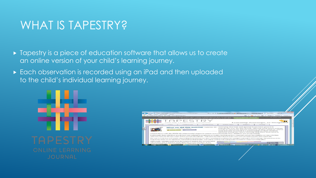## WHAT IS TAPESTRY?

- $\triangleright$  Tapestry is a piece of education software that allows us to create an online version of your child's learning journey.
- Each observation is recorded using an iPad and then uploaded to the child's individual learning journey.



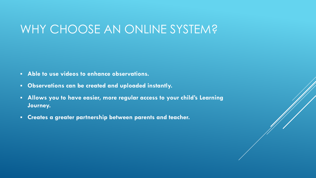#### WHY CHOOSE AN ONLINE SYSTEM?

- **Able to use videos to enhance observations.**
- **Observations can be created and uploaded instantly.**
- **Allows you to have easier, more regular access to your child's Learning Journey.**
- **Creates a greater partnership between parents and teacher.**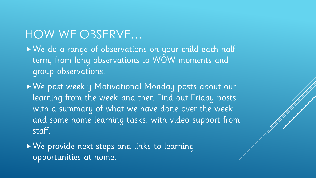## HOW WE OBSERVE…

We do a range of observations on your child each half term, from long observations to WOW moments and group observations.

We post weekly Motivational Monday posts about our learning from the week and then Find out Friday posts with a summary of what we have done over the week and some home learning tasks, with video support from staff.

We provide next steps and links to learning opportunities at home.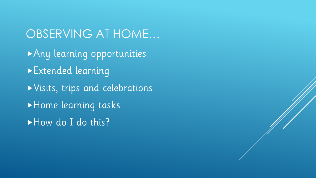OBSERVING AT HOME… Any learning opportunities Extended learning Visits, trips and celebrations Home learning tasks How do I do this?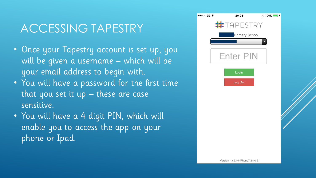# ACCESSING TAPESTRY

- Once your Tapestry account is set up, you will be given a username – which will be your email address to begin with.
- You will have a password for the first time that you set it up – these are case sensitive.
- You will have a 4 digit PIN, which will enable you to access the app on your phone or Ipad.

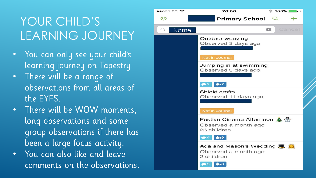# YOUR CHILD'S LEARNING JOURNEY

- You can only see your child's learning journey on Tapestry.
- There will be a range of observations from all areas of the EYFS.
- There will be WOW moments, long observations and some group observations if there has been a large focus activity.
- You can also like and leave comments on the observations.

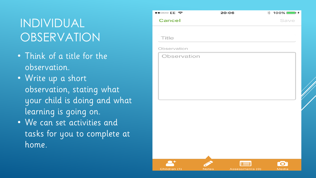# INDIVIDUAL OBSERVATION

- Think of a title for the observation.
- Write up a short observation, stating what your child is doing and what learning is going on.
- We can set activities and tasks for you to complete at home.

| $\bullet\bullet\circ\circ\circ$ EE $\widehat{\phantom{\bullet}}$ | 20:06 |   | $\text{\textsterling} 100\%$ |
|------------------------------------------------------------------|-------|---|------------------------------|
| <b>Cancel</b>                                                    |       |   | Save                         |
|                                                                  |       |   |                              |
| Title                                                            |       |   |                              |
| Observation                                                      |       |   |                              |
| Observation                                                      |       |   |                              |
|                                                                  |       |   |                              |
|                                                                  |       |   |                              |
|                                                                  |       | 眶 | O.                           |

Assessments (0)

Media

**Notes** 

Children (1)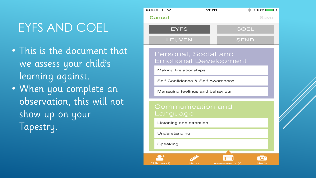# EYFS AND COEL

• This is the document that we assess your child's learning against. • When you complete an observation, this will not

show up on your Tapestry.

#### $\bullet\bullet\circ\circ\circ$  FF  $\mathbf{\hat{\mathfrak{D}}}$  $20:11$  $* 100%$ Cancel Save **EYFS COEL LEUVEN SEND** Personal, Social and **Emotional Development Making Relationships** Self Confidence & Self Awareness Managing feelings and behaviour Communication and Language Listening and attention Understanding Speaking **For** Children (1) **Notes** Media Assessments (0)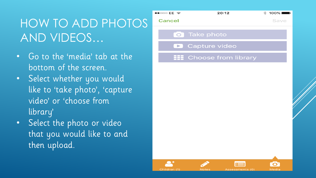# HOW TO ADD PHOTOS AND VIDEOS…

- Go to the 'media' tab at the bottom of the screen.
- Select whether you would like to 'take photo', 'capture video' or 'choose from library'
- Select the photo or video that you would like to and then upload.

| $\bullet$ ං $\circ$ EE $\widehat{\bullet}$ | 20:12                      | $100\%$<br>$\ast$ |
|--------------------------------------------|----------------------------|-------------------|
| <b>Cancel</b>                              |                            | Save              |
| $\overline{\bigcirc}$                      | <b>Take photo</b>          |                   |
| $\blacksquare$                             | Capture video              |                   |
|                                            | <b>Choose from library</b> |                   |
|                                            |                            |                   |
|                                            |                            |                   |
|                                            |                            |                   |
|                                            |                            |                   |
|                                            |                            |                   |
|                                            |                            |                   |
|                                            |                            |                   |
|                                            |                            |                   |
|                                            | 医三                         | O                 |

**Notes** 

Assessments (0)

Media

Children (1)